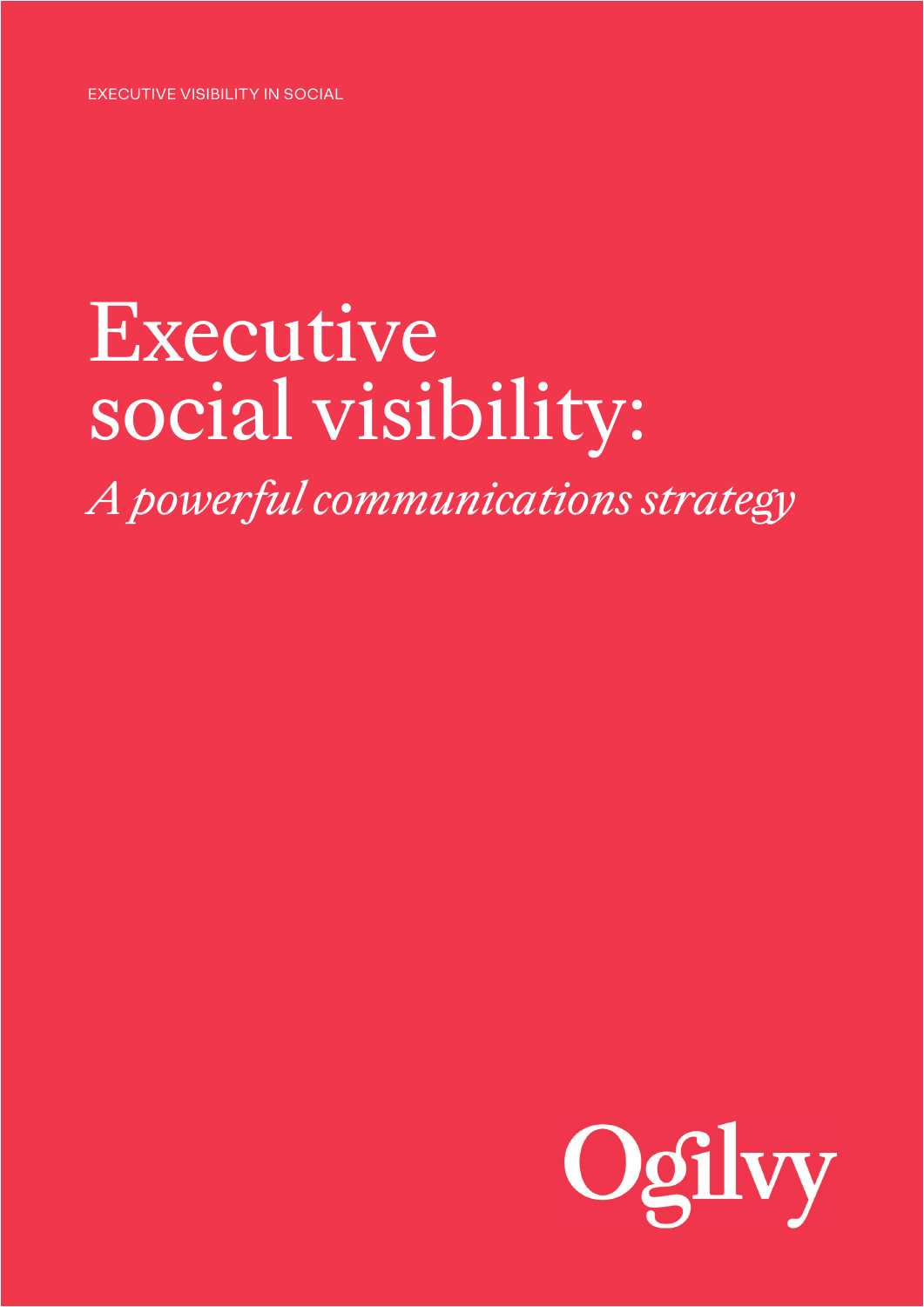EXECUTIVE VISIBILITY IN SOCIAL

# Executive social visibility:

*A powerful communications strategy*

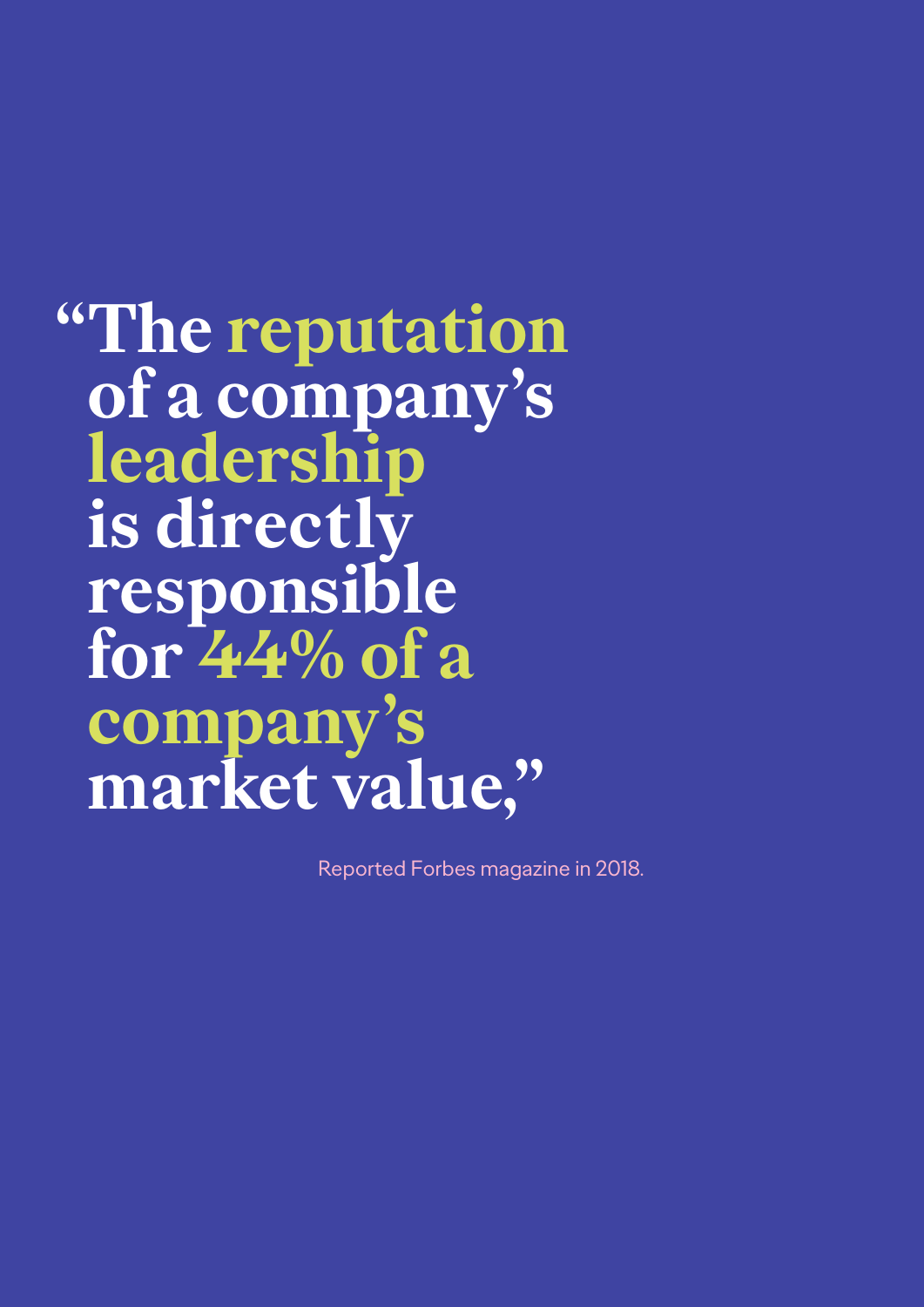## **"The reputation of a company's leadership is directly responsible for 44% of a company's market value,"**

Reported Forbes magazine in 2018.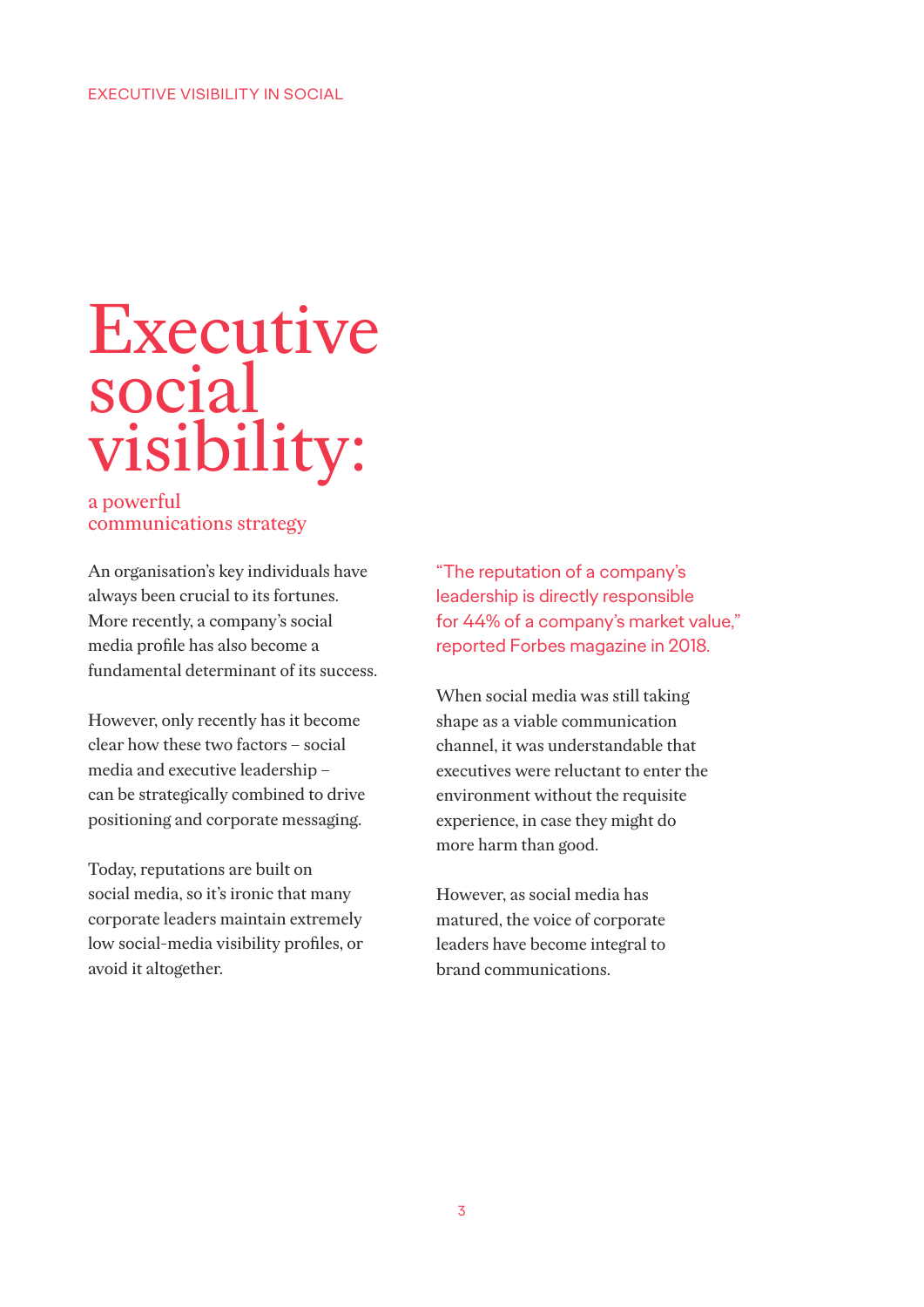#### EXECUTIVE VISIBILITY IN SOCIAL

### Executive social visibility:

#### a powerful communications strategy

An organisation's key individuals have always been crucial to its fortunes. More recently, a company's social media profile has also become a fundamental determinant of its success.

However, only recently has it become clear how these two factors – social media and executive leadership – can be strategically combined to drive positioning and corporate messaging.

Today, reputations are built on social media, so it's ironic that many corporate leaders maintain extremely low social-media visibility profiles, or avoid it altogether.

"The reputation of a company's leadership is directly responsible for 44% of a company's market value," reported Forbes magazine in 2018.

When social media was still taking shape as a viable communication channel, it was understandable that executives were reluctant to enter the environment without the requisite experience, in case they might do more harm than good.

However, as social media has matured, the voice of corporate leaders have become integral to brand communications.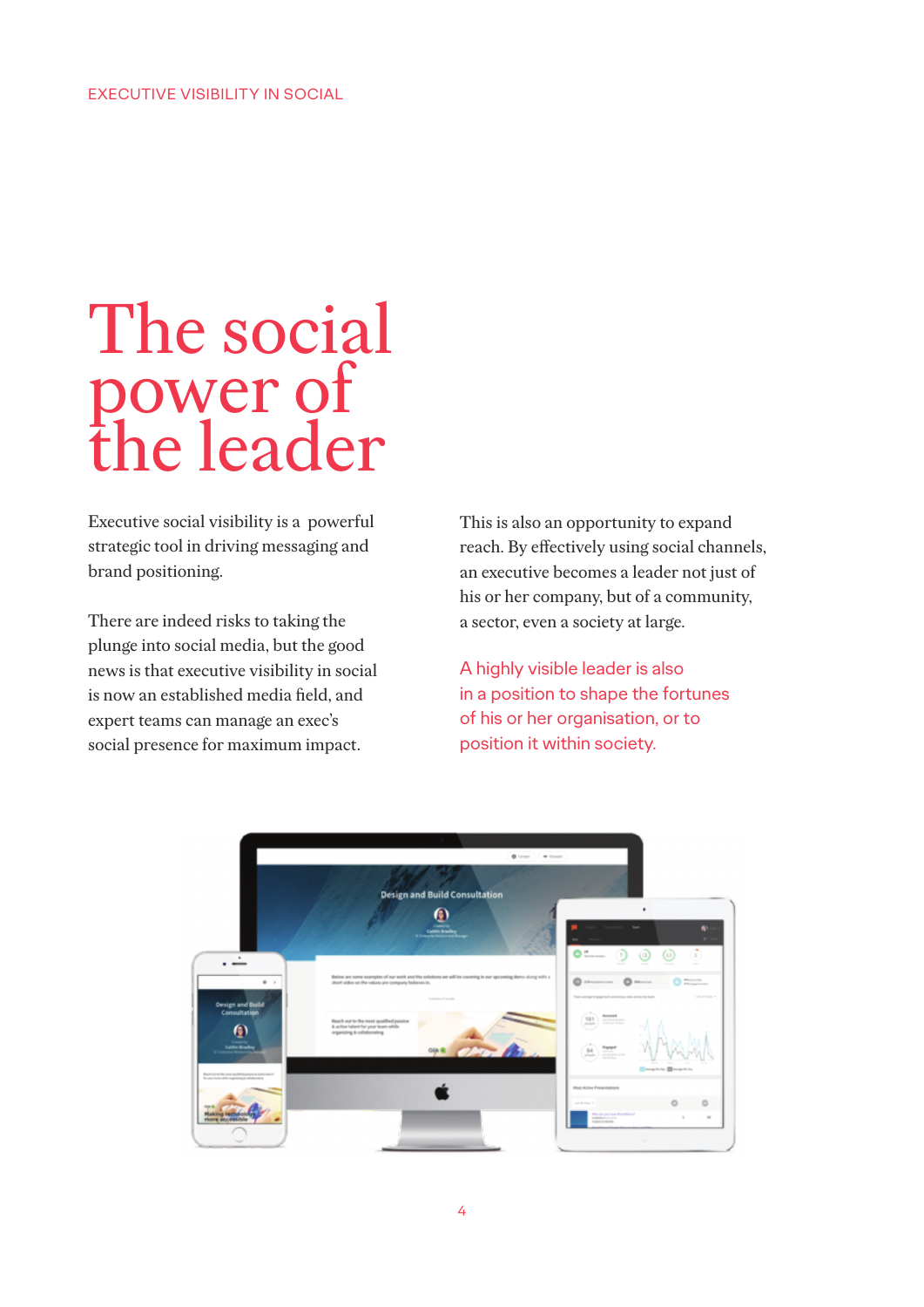### The social power of the leader

Executive social visibility is a powerful strategic tool in driving messaging and brand positioning.

There are indeed risks to taking the plunge into social media, but the good news is that executive visibility in social is now an established media field, and expert teams can manage an exec's social presence for maximum impact.

This is also an opportunity to expand reach. By effectively using social channels, an executive becomes a leader not just of his or her company, but of a community, a sector, even a society at large.

A highly visible leader is also in a position to shape the fortunes of his or her organisation, or to position it within society.

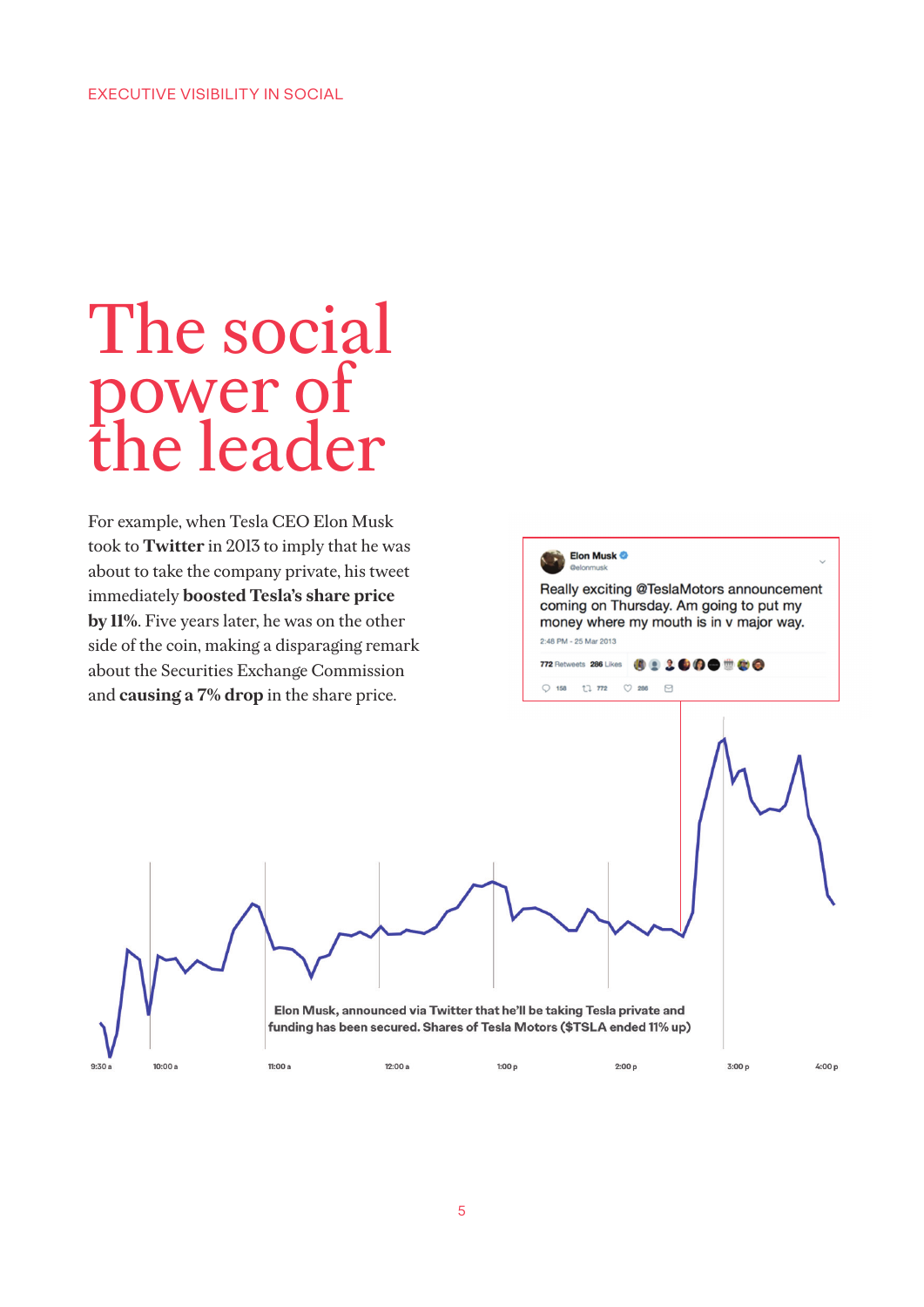### The social power of the leader

For example, when Tesla CEO Elon Musk took to **Twitter** in 2013 to imply that he was about to take the company private, his tweet immediately **boosted Tesla's share price by 11%**. Five years later, he was on the other side of the coin, making a disparaging remark about the Securities Exchange Commission and **causing a 7% drop** in the share price.

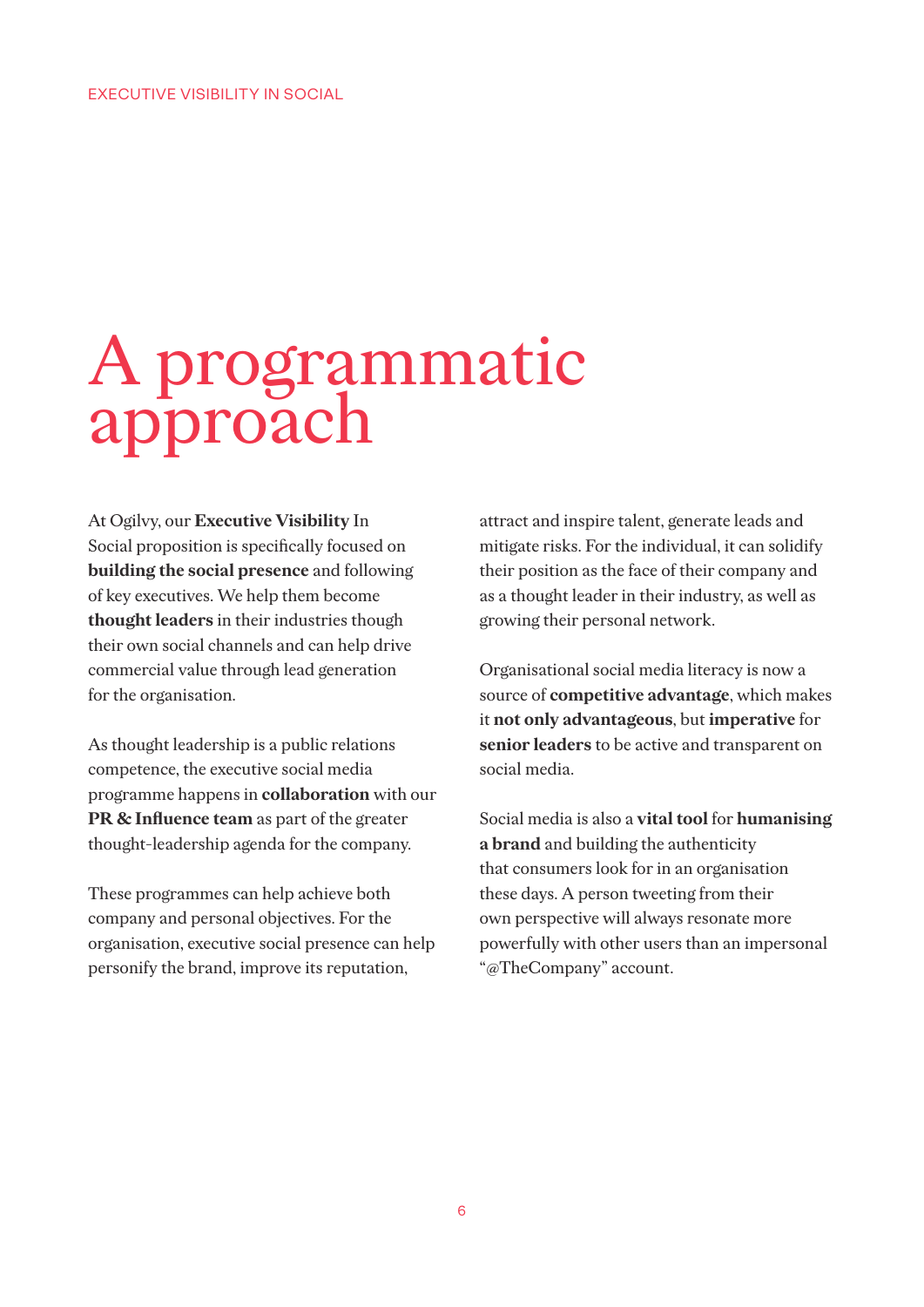## A programmatic approach

At Ogilvy, our **Executive Visibility** In Social proposition is specifically focused on **building the social presence** and following of key executives. We help them become **thought leaders** in their industries though their own social channels and can help drive commercial value through lead generation for the organisation.

As thought leadership is a public relations competence, the executive social media programme happens in **collaboration** with our **PR & Influence team** as part of the greater thought-leadership agenda for the company.

These programmes can help achieve both company and personal objectives. For the organisation, executive social presence can help personify the brand, improve its reputation,

attract and inspire talent, generate leads and mitigate risks. For the individual, it can solidify their position as the face of their company and as a thought leader in their industry, as well as growing their personal network.

Organisational social media literacy is now a source of **competitive advantage**, which makes it **not only advantageous**, but **imperative** for **senior leaders** to be active and transparent on social media.

Social media is also a **vital tool** for **humanising a brand** and building the authenticity that consumers look for in an organisation these days. A person tweeting from their own perspective will always resonate more powerfully with other users than an impersonal "@TheCompany" account.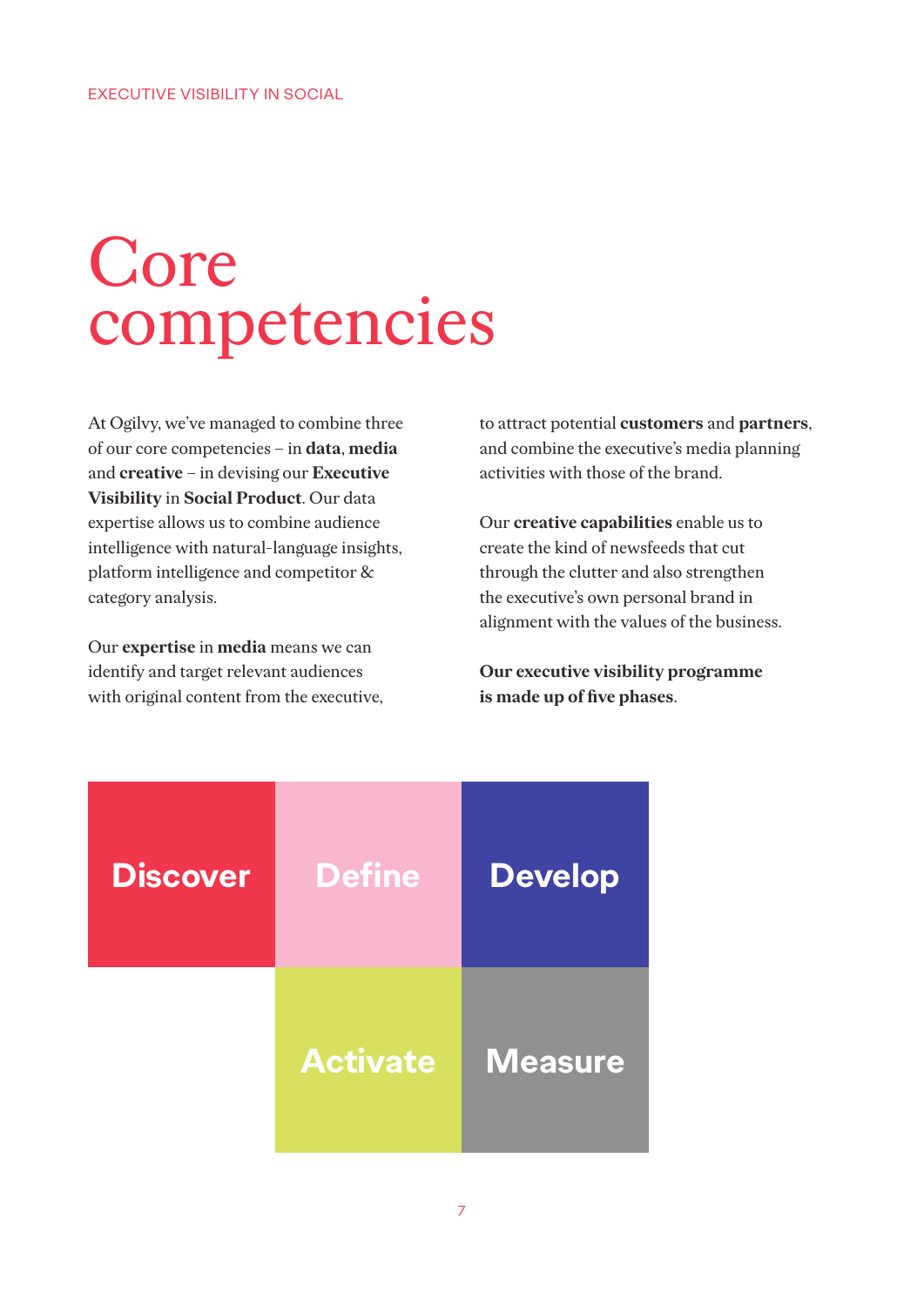## Core competencies

At Ogilvy, we've managed to combine three of our core competencies – in **data**, **media** and **creative** – in devising our **Executive Visibility** in **Social Product**. Our data expertise allows us to combine audience intelligence with natural-language insights, platform intelligence and competitor & category analysis.

Our **expertise** in **media** means we can identify and target relevant audiences with original content from the executive, to attract potential **customers** and **partners**, and combine the executive's media planning activities with those of the brand.

Our **creative capabilities** enable us to create the kind of newsfeeds that cut through the clutter and also strengthen the executive's own personal brand in alignment with the values of the business.

**Our executive visibility programme is made up of five phases**.

| <b>Discover</b> | <b>Define</b>   | <b>Develop</b> |
|-----------------|-----------------|----------------|
|                 | <b>Activate</b> | <b>Measure</b> |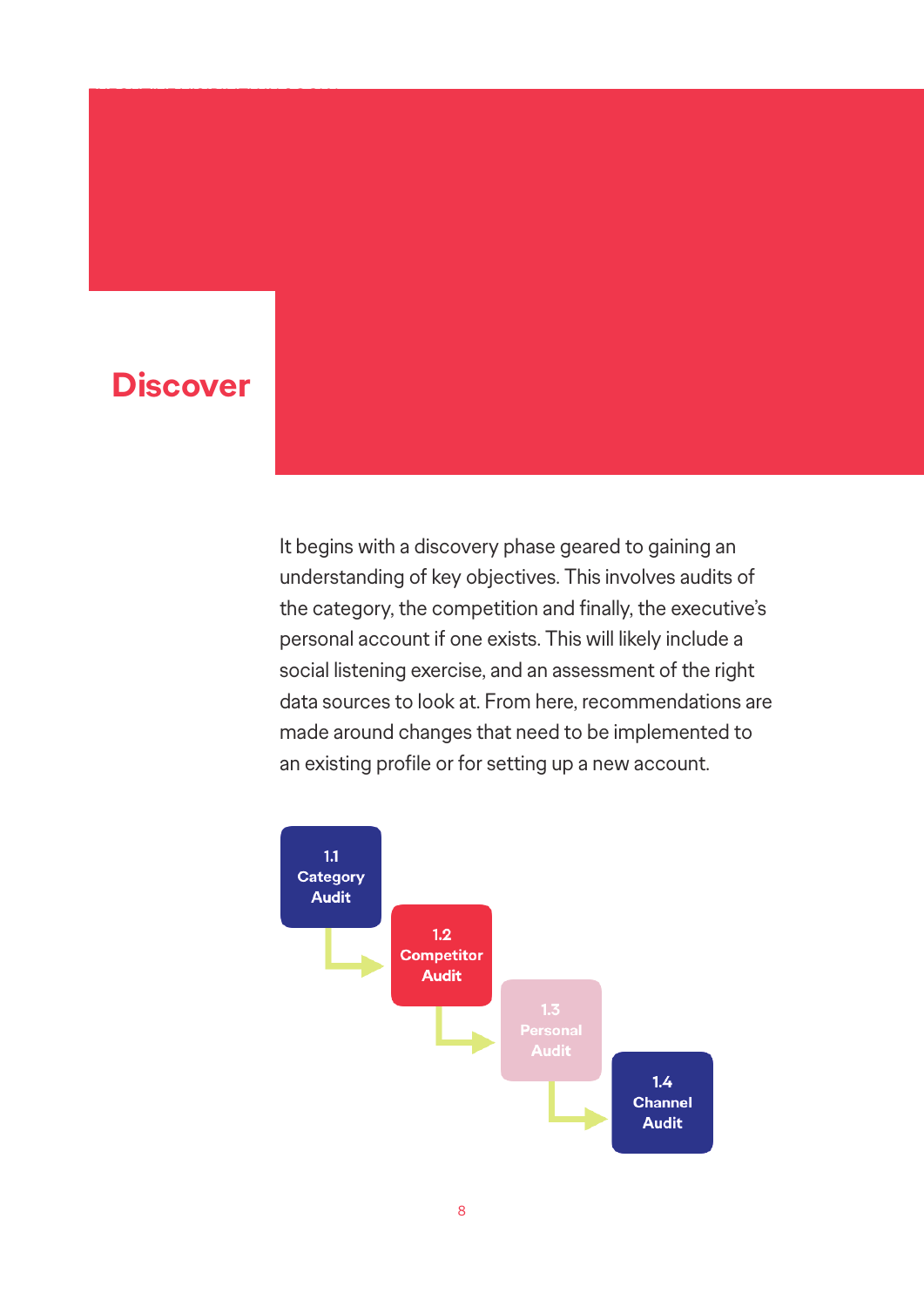#### **Discover**

EXECUTIVE VISIBILITY IN SOCIAL SECURITY IN SOCIAL SECURITY IN SOCIAL SECURITY IN SOCIAL SECURITY IN SOCIAL SEC

It begins with a discovery phase geared to gaining an understanding of key objectives. This involves audits of the category, the competition and finally, the executive's personal account if one exists. This will likely include a social listening exercise, and an assessment of the right data sources to look at. From here, recommendations are made around changes that need to be implemented to an existing profile or for setting up a new account.

![](_page_7_Figure_2.jpeg)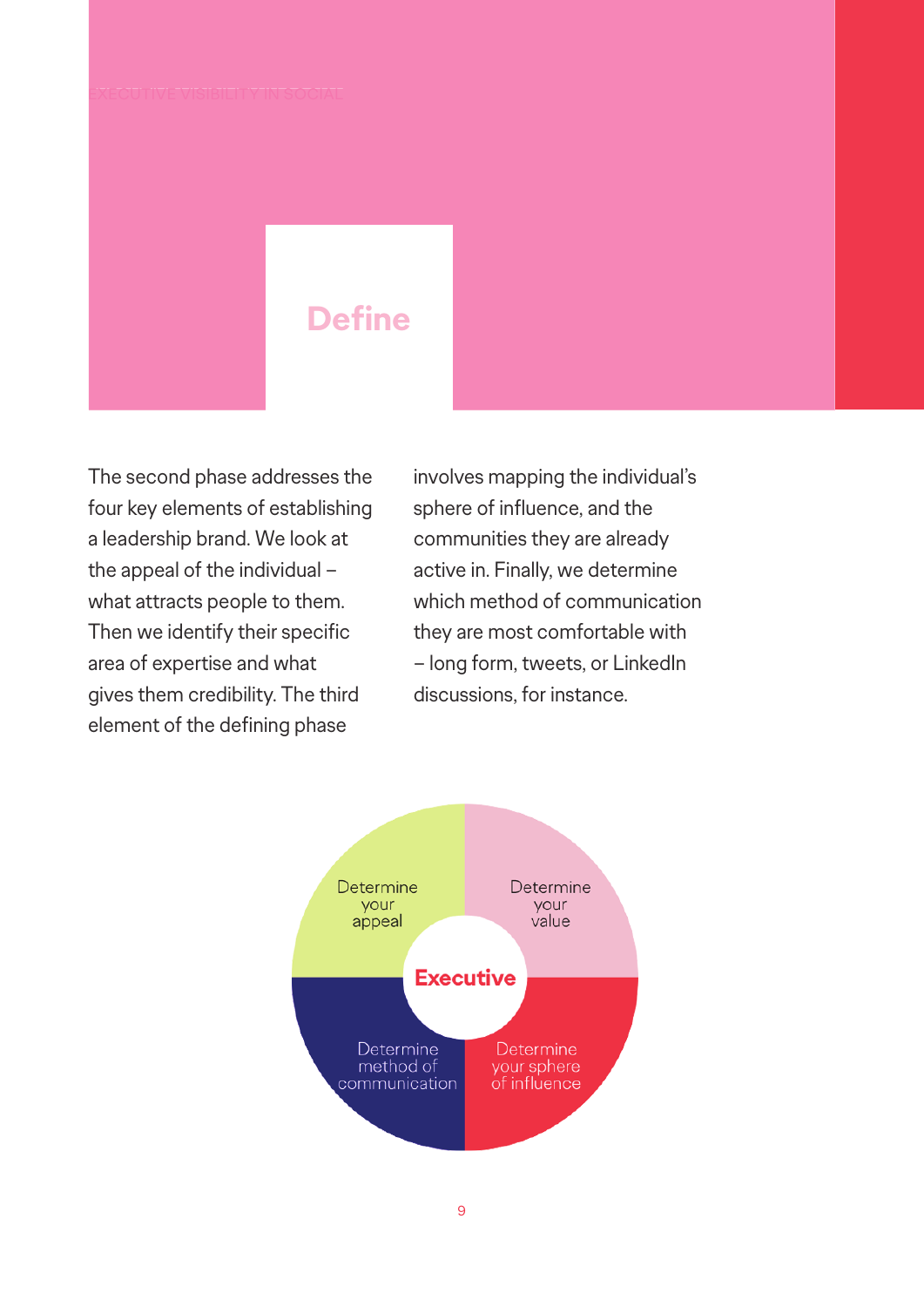#### **Define**

The second phase addresses the four key elements of establishing a leadership brand. We look at the appeal of the individual – what attracts people to them. Then we identify their specific area of expertise and what gives them credibility. The third element of the defining phase

involves mapping the individual's sphere of influence, and the communities they are already active in. Finally, we determine which method of communication they are most comfortable with – long form, tweets, or LinkedIn discussions, for instance.

![](_page_8_Figure_4.jpeg)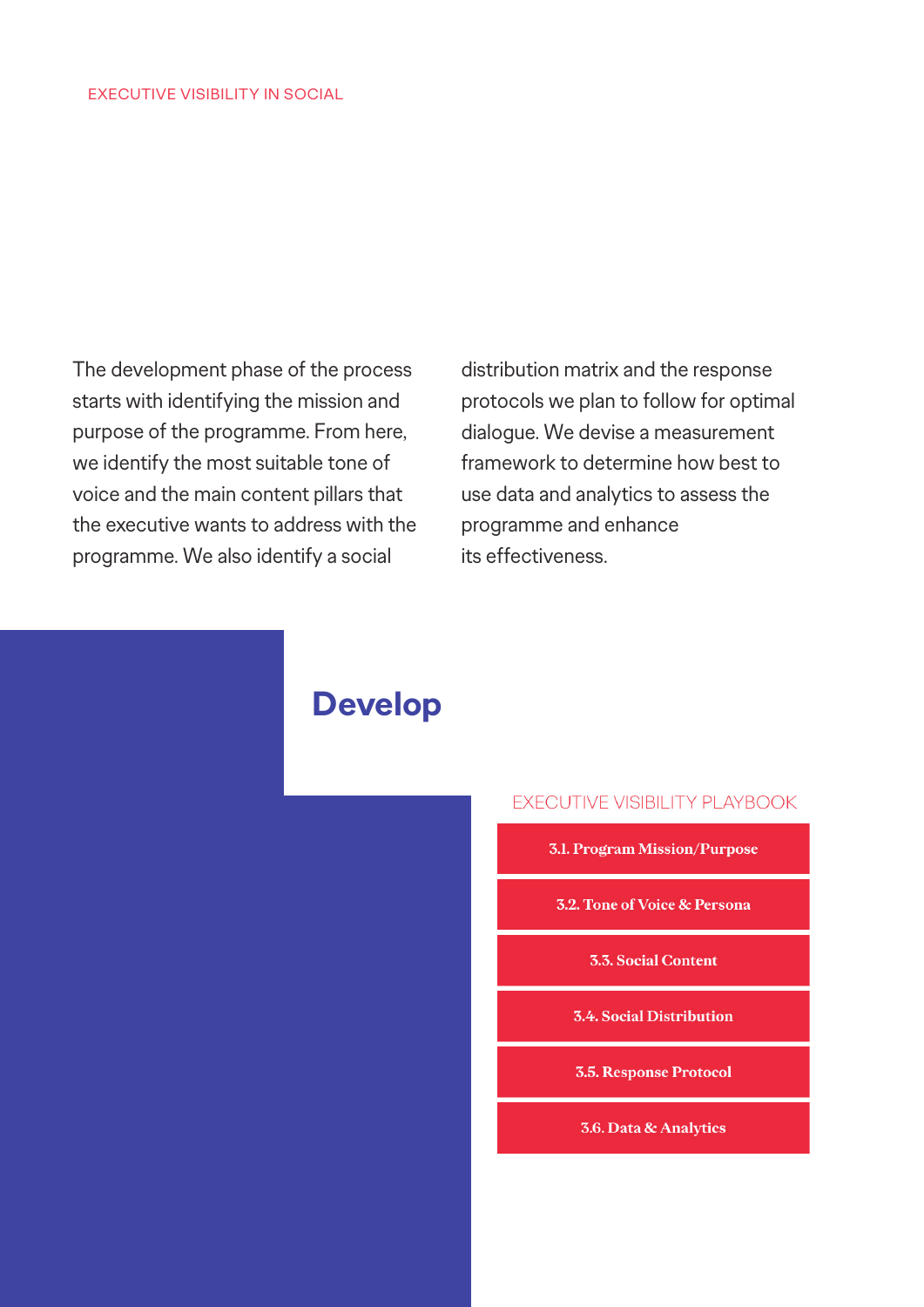The development phase of the process starts with identifying the mission and purpose of the programme. From here, we identify the most suitable tone of voice and the main content pillars that the executive wants to address with the programme. We also identify a social

distribution matrix and the response protocols we plan to follow for optimal dialogue. We devise a measurement framework to determine how best to use data and analytics to assess the programme and enhance its effectiveness.

![](_page_9_Picture_3.jpeg)

#### EXECUTIVE VISIBILITY PLAYBOOK

- **3.1. Program Mission/Purpose** 
	- **3.2. Tone of Voice & Persona**

**3.3. Social Content** 

**3.4. Social Distribution** 

**3.5. Response Protocol** 

**3.6. Data & Analytics**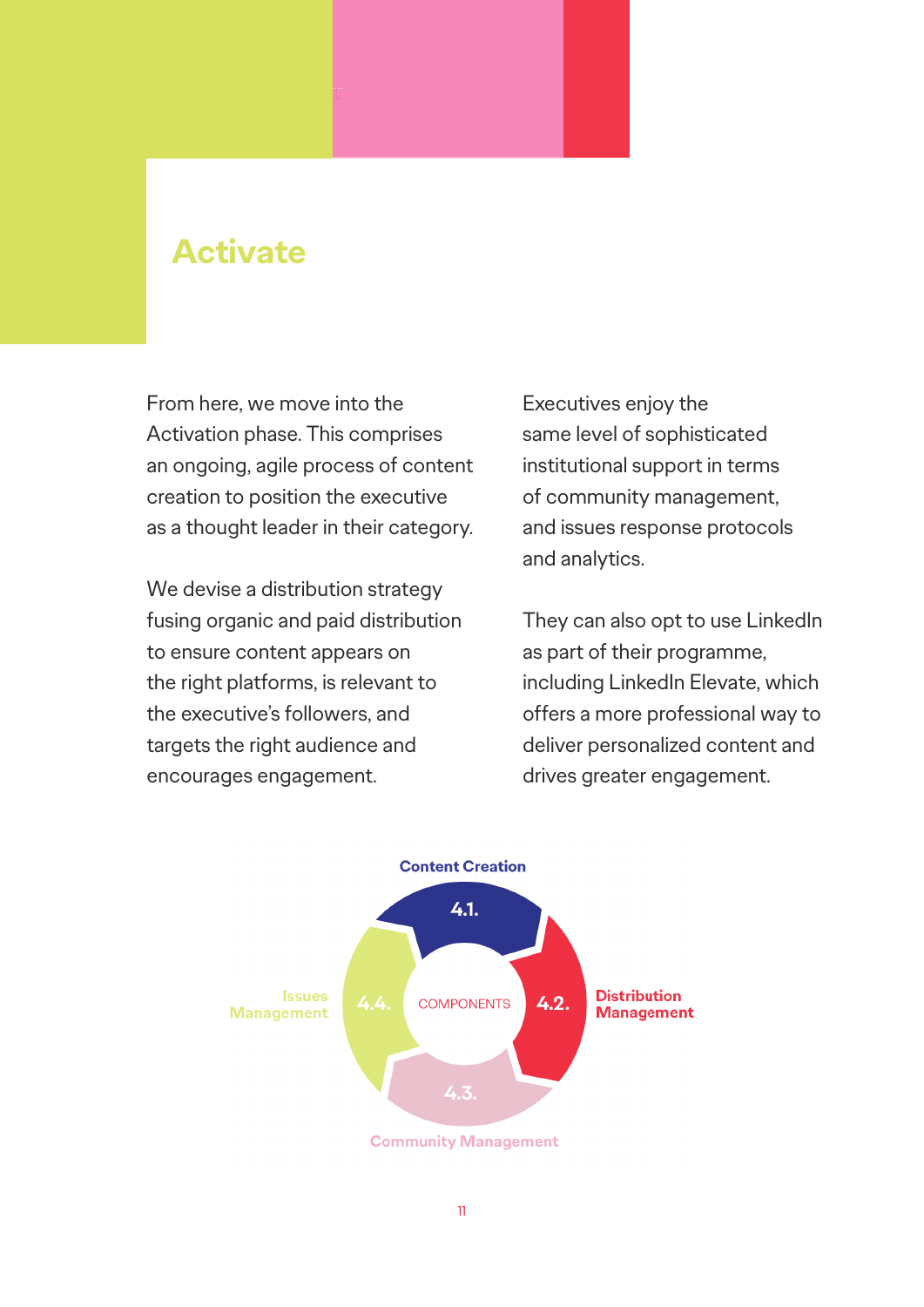#### **Activate**

From here, we move into the Activation phase. This comprises an ongoing, agile process of content creation to position the executive as a thought leader in their category.

We devise a distribution strategy fusing organic and paid distribution to ensure content appears on the right platforms, is relevant to the executive's followers, and targets the right audience and encourages engagement.

Executives enjoy the same level of sophisticated institutional support in terms of community management, and issues response protocols and analytics.

They can also opt to use LinkedIn as part of their programme, including LinkedIn Elevate, which offers a more professional way to deliver personalized content and drives greater engagement.

![](_page_10_Figure_5.jpeg)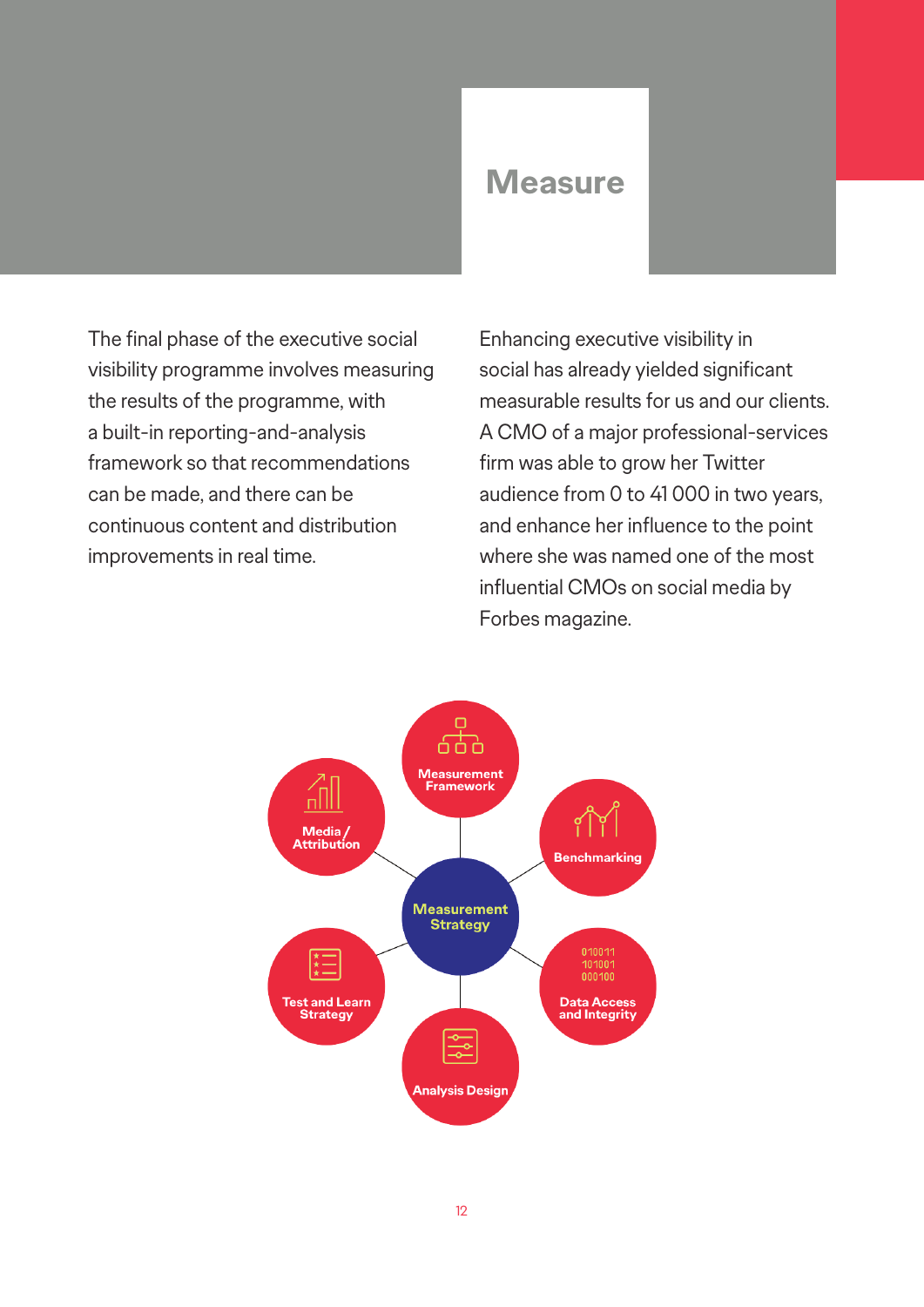#### **Measure**

The final phase of the executive social visibility programme involves measuring the results of the programme, with a built-in reporting-and-analysis framework so that recommendations can be made, and there can be continuous content and distribution improvements in real time.

Enhancing executive visibility in social has already yielded significant measurable results for us and our clients. A CMO of a major professional-services firm was able to grow her Twitter audience from 0 to 41 000 in two years, and enhance her influence to the point where she was named one of the most influential CMOs on social media by Forbes magazine.

![](_page_11_Figure_3.jpeg)